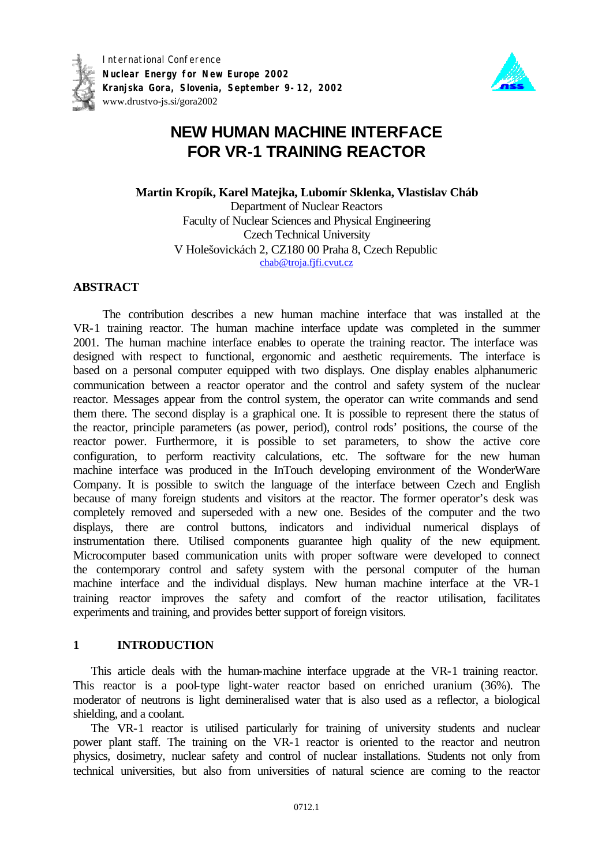

International Conference **Nuclear Energy for New Europe 2002 Kranjska Gora, Slovenia, September 9-12, 2002** www.drustvo-js.si/gora2002



# **NEW HUMAN MACHINE INTERFACE FOR VR-1 TRAINING REACTOR**

**Martin Kropík, Karel Matejka, Lubomír Sklenka, Vlastislav Cháb** Department of Nuclear Reactors Faculty of Nuclear Sciences and Physical Engineering Czech Technical University V Holešovickách 2, CZ180 00 Praha 8, Czech Republic chab@troja.fjfi.cvut.cz

# **ABSTRACT**

The contribution describes a new human machine interface that was installed at the VR-1 training reactor. The human machine interface update was completed in the summer 2001. The human machine interface enables to operate the training reactor. The interface was designed with respect to functional, ergonomic and aesthetic requirements. The interface is based on a personal computer equipped with two displays. One display enables alphanumeric communication between a reactor operator and the control and safety system of the nuclear reactor. Messages appear from the control system, the operator can write commands and send them there. The second display is a graphical one. It is possible to represent there the status of the reactor, principle parameters (as power, period), control rods' positions, the course of the reactor power. Furthermore, it is possible to set parameters, to show the active core configuration, to perform reactivity calculations, etc. The software for the new human machine interface was produced in the InTouch developing environment of the WonderWare Company. It is possible to switch the language of the interface between Czech and English because of many foreign students and visitors at the reactor. The former operator's desk was completely removed and superseded with a new one. Besides of the computer and the two displays, there are control buttons, indicators and individual numerical displays of instrumentation there. Utilised components guarantee high quality of the new equipment. Microcomputer based communication units with proper software were developed to connect the contemporary control and safety system with the personal computer of the human machine interface and the individual displays. New human machine interface at the VR-1 training reactor improves the safety and comfort of the reactor utilisation, facilitates experiments and training, and provides better support of foreign visitors.

# **1 INTRODUCTION**

This article deals with the human-machine interface upgrade at the VR-1 training reactor. This reactor is a pool-type light-water reactor based on enriched uranium (36%). The moderator of neutrons is light demineralised water that is also used as a reflector, a biological shielding, and a coolant.

The VR-1 reactor is utilised particularly for training of university students and nuclear power plant staff. The training on the VR-1 reactor is oriented to the reactor and neutron physics, dosimetry, nuclear safety and control of nuclear installations. Students not only from technical universities, but also from universities of natural science are coming to the reactor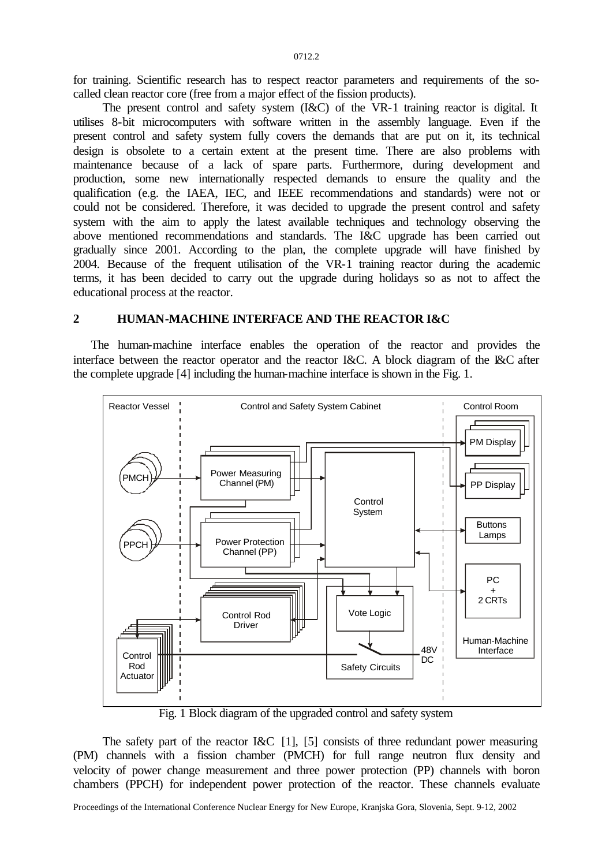for training. Scientific research has to respect reactor parameters and requirements of the socalled clean reactor core (free from a major effect of the fission products).

The present control and safety system (I&C) of the VR-1 training reactor is digital. It utilises 8-bit microcomputers with software written in the assembly language. Even if the present control and safety system fully covers the demands that are put on it, its technical design is obsolete to a certain extent at the present time. There are also problems with maintenance because of a lack of spare parts. Furthermore, during development and production, some new internationally respected demands to ensure the quality and the qualification (e.g. the IAEA, IEC, and IEEE recommendations and standards) were not or could not be considered. Therefore, it was decided to upgrade the present control and safety system with the aim to apply the latest available techniques and technology observing the above mentioned recommendations and standards. The I&C upgrade has been carried out gradually since 2001. According to the plan, the complete upgrade will have finished by 2004. Because of the frequent utilisation of the VR-1 training reactor during the academic terms, it has been decided to carry out the upgrade during holidays so as not to affect the educational process at the reactor.

## **2 HUMAN-MACHINE INTERFACE AND THE REACTOR I&C**

The human-machine interface enables the operation of the reactor and provides the interface between the reactor operator and the reactor I&C. A block diagram of the I&C after the complete upgrade [4] including the human-machine interface is shown in the Fig. 1.



Fig. 1 Block diagram of the upgraded control and safety system

The safety part of the reactor I&C [1], [5] consists of three redundant power measuring (PM) channels with a fission chamber (PMCH) for full range neutron flux density and velocity of power change measurement and three power protection (PP) channels with boron chambers (PPCH) for independent power protection of the reactor. These channels evaluate

Proceedings of the International Conference Nuclear Energy for New Europe, Kranjska Gora, Slovenia, Sept. 9-12, 2002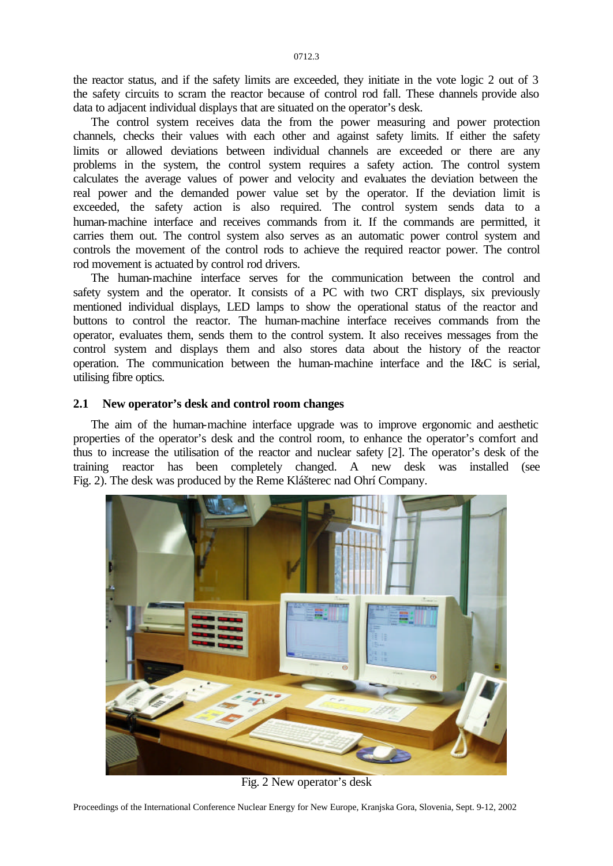the reactor status, and if the safety limits are exceeded, they initiate in the vote logic 2 out of 3 the safety circuits to scram the reactor because of control rod fall. These channels provide also data to adjacent individual displays that are situated on the operator's desk.

The control system receives data the from the power measuring and power protection channels, checks their values with each other and against safety limits. If either the safety limits or allowed deviations between individual channels are exceeded or there are any problems in the system, the control system requires a safety action. The control system calculates the average values of power and velocity and evaluates the deviation between the real power and the demanded power value set by the operator. If the deviation limit is exceeded, the safety action is also required. The control system sends data to a human-machine interface and receives commands from it. If the commands are permitted, it carries them out. The control system also serves as an automatic power control system and controls the movement of the control rods to achieve the required reactor power. The control rod movement is actuated by control rod drivers.

The human-machine interface serves for the communication between the control and safety system and the operator. It consists of a PC with two CRT displays, six previously mentioned individual displays, LED lamps to show the operational status of the reactor and buttons to control the reactor. The human-machine interface receives commands from the operator, evaluates them, sends them to the control system. It also receives messages from the control system and displays them and also stores data about the history of the reactor operation. The communication between the human-machine interface and the I&C is serial, utilising fibre optics.

#### **2.1 New operator's desk and control room changes**

The aim of the human-machine interface upgrade was to improve ergonomic and aesthetic properties of the operator's desk and the control room, to enhance the operator's comfort and thus to increase the utilisation of the reactor and nuclear safety [2]. The operator's desk of the training reactor has been completely changed. A new desk was installed (see Fig. 2). The desk was produced by the Reme Klášterec nad Ohrí Company.



Fig. 2 New operator's desk

Proceedings of the International Conference Nuclear Energy for New Europe, Kranjska Gora, Slovenia, Sept. 9-12, 2002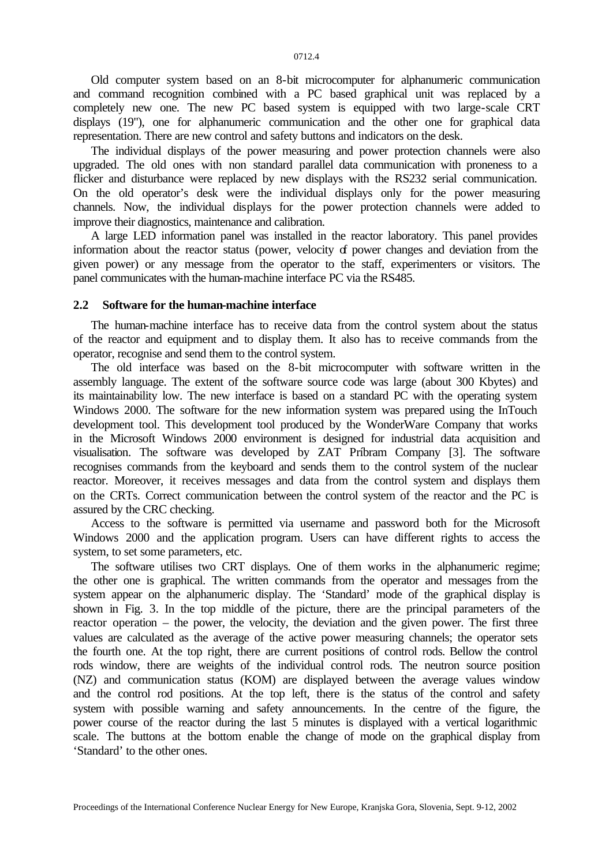Old computer system based on an 8-bit microcomputer for alphanumeric communication and command recognition combined with a PC based graphical unit was replaced by a completely new one. The new PC based system is equipped with two large-scale CRT displays (19"), one for alphanumeric communication and the other one for graphical data representation. There are new control and safety buttons and indicators on the desk.

The individual displays of the power measuring and power protection channels were also upgraded. The old ones with non standard parallel data communication with proneness to a flicker and disturbance were replaced by new displays with the RS232 serial communication. On the old operator's desk were the individual displays only for the power measuring channels. Now, the individual displays for the power protection channels were added to improve their diagnostics, maintenance and calibration.

A large LED information panel was installed in the reactor laboratory. This panel provides information about the reactor status (power, velocity of power changes and deviation from the given power) or any message from the operator to the staff, experimenters or visitors. The panel communicates with the human-machine interface PC via the RS485.

#### **2.2 Software for the human-machine interface**

The human-machine interface has to receive data from the control system about the status of the reactor and equipment and to display them. It also has to receive commands from the operator, recognise and send them to the control system.

The old interface was based on the 8-bit microcomputer with software written in the assembly language. The extent of the software source code was large (about 300 Kbytes) and its maintainability low. The new interface is based on a standard PC with the operating system Windows 2000. The software for the new information system was prepared using the InTouch development tool. This development tool produced by the WonderWare Company that works in the Microsoft Windows 2000 environment is designed for industrial data acquisition and visualisation. The software was developed by ZAT Príbram Company [3]. The software recognises commands from the keyboard and sends them to the control system of the nuclear reactor. Moreover, it receives messages and data from the control system and displays them on the CRTs. Correct communication between the control system of the reactor and the PC is assured by the CRC checking.

Access to the software is permitted via username and password both for the Microsoft Windows 2000 and the application program. Users can have different rights to access the system, to set some parameters, etc.

The software utilises two CRT displays. One of them works in the alphanumeric regime; the other one is graphical. The written commands from the operator and messages from the system appear on the alphanumeric display. The 'Standard' mode of the graphical display is shown in Fig. 3. In the top middle of the picture, there are the principal parameters of the reactor operation – the power, the velocity, the deviation and the given power. The first three values are calculated as the average of the active power measuring channels; the operator sets the fourth one. At the top right, there are current positions of control rods. Bellow the control rods window, there are weights of the individual control rods. The neutron source position (NZ) and communication status (KOM) are displayed between the average values window and the control rod positions. At the top left, there is the status of the control and safety system with possible warning and safety announcements. In the centre of the figure, the power course of the reactor during the last 5 minutes is displayed with a vertical logarithmic scale. The buttons at the bottom enable the change of mode on the graphical display from 'Standard' to the other ones.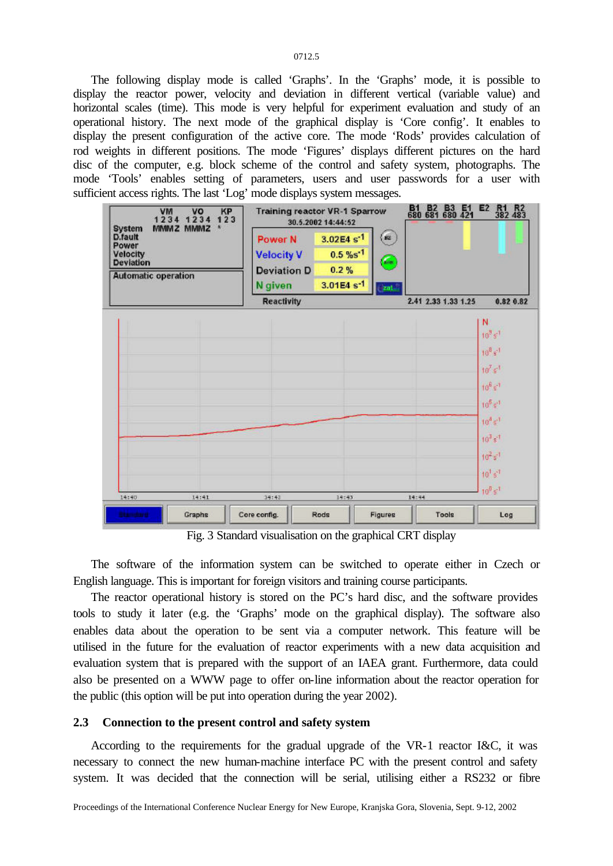0712.5

The following display mode is called 'Graphs'. In the 'Graphs' mode, it is possible to display the reactor power, velocity and deviation in different vertical (variable value) and horizontal scales (time). This mode is very helpful for experiment evaluation and study of an operational history. The next mode of the graphical display is 'Core config'. It enables to display the present configuration of the active core. The mode 'Rods' provides calculation of rod weights in different positions. The mode 'Figures' displays different pictures on the hard disc of the computer, e.g. block scheme of the control and safety system, photographs. The mode 'Tools' enables setting of parameters, users and user passwords for a user with sufficient access rights. The last 'Log' mode displays system messages.



Fig. 3 Standard visualisation on the graphical CRT display

The software of the information system can be switched to operate either in Czech or English language. This is important for foreign visitors and training course participants.

The reactor operational history is stored on the PC's hard disc, and the software provides tools to study it later (e.g. the 'Graphs' mode on the graphical display). The software also enables data about the operation to be sent via a computer network. This feature will be utilised in the future for the evaluation of reactor experiments with a new data acquisition and evaluation system that is prepared with the support of an IAEA grant. Furthermore, data could also be presented on a WWW page to offer on-line information about the reactor operation for the public (this option will be put into operation during the year 2002).

#### **2.3 Connection to the present control and safety system**

According to the requirements for the gradual upgrade of the VR-1 reactor I&C, it was necessary to connect the new human-machine interface PC with the present control and safety system. It was decided that the connection will be serial, utilising either a RS232 or fibre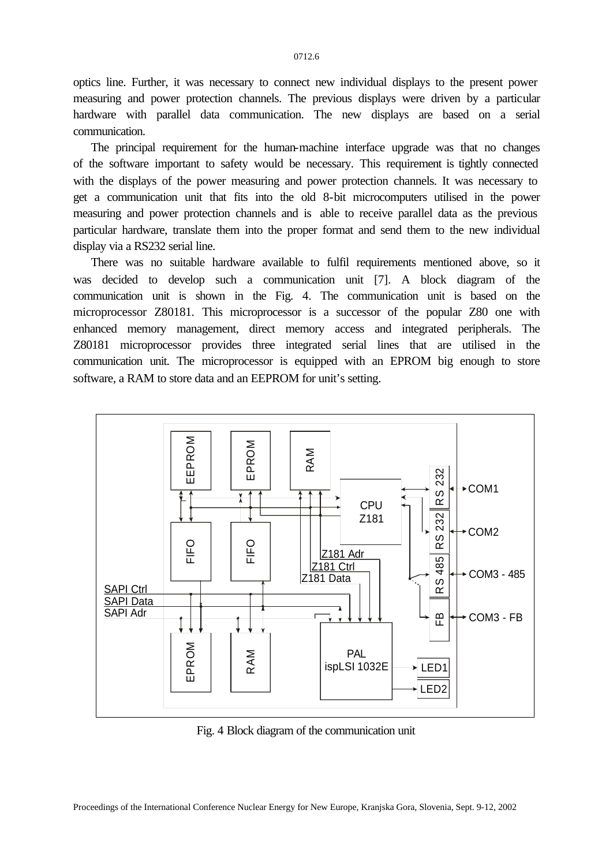optics line. Further, it was necessary to connect new individual displays to the present power measuring and power protection channels. The previous displays were driven by a particular hardware with parallel data communication. The new displays are based on a serial communication.

The principal requirement for the human-machine interface upgrade was that no changes of the software important to safety would be necessary. This requirement is tightly connected with the displays of the power measuring and power protection channels. It was necessary to get a communication unit that fits into the old 8-bit microcomputers utilised in the power measuring and power protection channels and is able to receive parallel data as the previous particular hardware, translate them into the proper format and send them to the new individual display via a RS232 serial line.

There was no suitable hardware available to fulfil requirements mentioned above, so it was decided to develop such a communication unit [7]. A block diagram of the communication unit is shown in the Fig. 4. The communication unit is based on the microprocessor Z80181. This microprocessor is a successor of the popular Z80 one with enhanced memory management, direct memory access and integrated peripherals. The Z80181 microprocessor provides three integrated serial lines that are utilised in the communication unit. The microprocessor is equipped with an EPROM big enough to store software, a RAM to store data and an EEPROM for unit's setting.



Fig. 4 Block diagram of the communication unit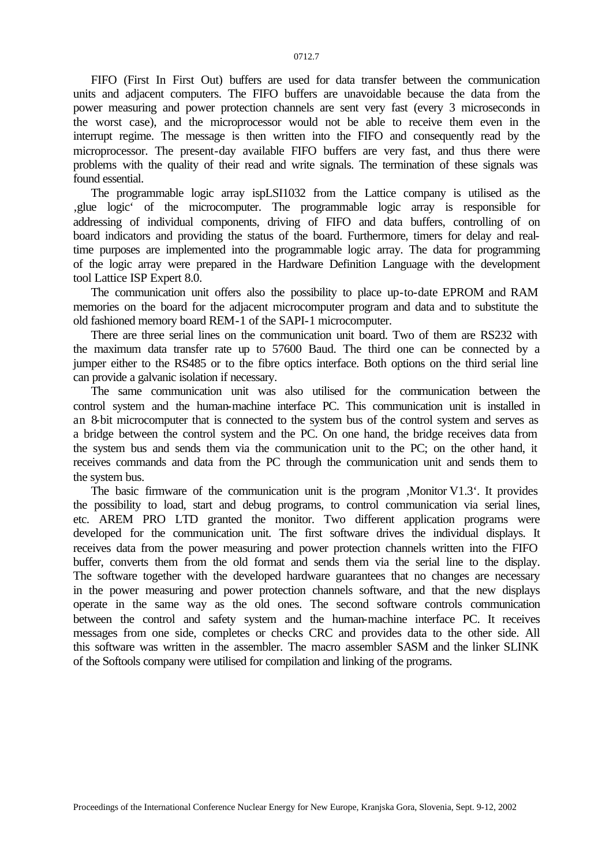FIFO (First In First Out) buffers are used for data transfer between the communication units and adjacent computers. The FIFO buffers are unavoidable because the data from the power measuring and power protection channels are sent very fast (every 3 microseconds in the worst case), and the microprocessor would not be able to receive them even in the interrupt regime. The message is then written into the FIFO and consequently read by the microprocessor. The present-day available FIFO buffers are very fast, and thus there were problems with the quality of their read and write signals. The termination of these signals was found essential.

The programmable logic array ispLSI1032 from the Lattice company is utilised as the 'glue logic' of the microcomputer. The programmable logic array is responsible for addressing of individual components, driving of FIFO and data buffers, controlling of on board indicators and providing the status of the board. Furthermore, timers for delay and realtime purposes are implemented into the programmable logic array. The data for programming of the logic array were prepared in the Hardware Definition Language with the development tool Lattice ISP Expert 8.0.

The communication unit offers also the possibility to place up-to-date EPROM and RAM memories on the board for the adjacent microcomputer program and data and to substitute the old fashioned memory board REM-1 of the SAPI-1 microcomputer.

There are three serial lines on the communication unit board. Two of them are RS232 with the maximum data transfer rate up to 57600 Baud. The third one can be connected by a jumper either to the RS485 or to the fibre optics interface. Both options on the third serial line can provide a galvanic isolation if necessary.

The same communication unit was also utilised for the communication between the control system and the human-machine interface PC. This communication unit is installed in an 8-bit microcomputer that is connected to the system bus of the control system and serves as a bridge between the control system and the PC. On one hand, the bridge receives data from the system bus and sends them via the communication unit to the PC; on the other hand, it receives commands and data from the PC through the communication unit and sends them to the system bus.

The basic firmware of the communication unit is the program  $M$ onitor V1.3 $\cdot$ . It provides the possibility to load, start and debug programs, to control communication via serial lines, etc. AREM PRO LTD granted the monitor. Two different application programs were developed for the communication unit. The first software drives the individual displays. It receives data from the power measuring and power protection channels written into the FIFO buffer, converts them from the old format and sends them via the serial line to the display. The software together with the developed hardware guarantees that no changes are necessary in the power measuring and power protection channels software, and that the new displays operate in the same way as the old ones. The second software controls communication between the control and safety system and the human-machine interface PC. It receives messages from one side, completes or checks CRC and provides data to the other side. All this software was written in the assembler. The macro assembler SASM and the linker SLINK of the Softools company were utilised for compilation and linking of the programs.